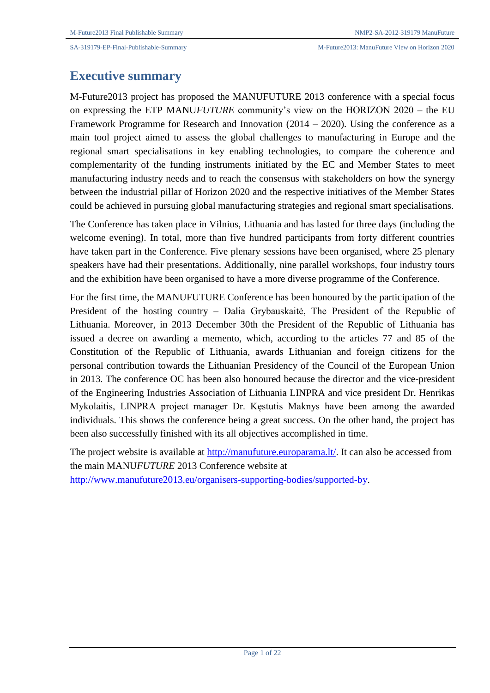# **Executive summary**

M-Future2013 project has proposed the MANUFUTURE 2013 conference with a special focus on expressing the ETP MANU*FUTURE* community's view on the HORIZON 2020 – the EU Framework Programme for Research and Innovation (2014 – 2020). Using the conference as a main tool project aimed to assess the global challenges to manufacturing in Europe and the regional smart specialisations in key enabling technologies, to compare the coherence and complementarity of the funding instruments initiated by the EC and Member States to meet manufacturing industry needs and to reach the consensus with stakeholders on how the synergy between the industrial pillar of Horizon 2020 and the respective initiatives of the Member States could be achieved in pursuing global manufacturing strategies and regional smart specialisations.

The Conference has taken place in Vilnius, Lithuania and has lasted for three days (including the welcome evening). In total, more than five hundred participants from forty different countries have taken part in the Conference. Five plenary sessions have been organised, where 25 plenary speakers have had their presentations. Additionally, nine parallel workshops, four industry tours and the exhibition have been organised to have a more diverse programme of the Conference.

For the first time, the MANUFUTURE Conference has been honoured by the participation of the President of the hosting country – Dalia Grybauskaitė, The President of the Republic of Lithuania. Moreover, in 2013 December 30th the President of the Republic of Lithuania has issued a decree on awarding a memento, which, according to the articles 77 and 85 of the Constitution of the Republic of Lithuania, awards Lithuanian and foreign citizens for the personal contribution towards the Lithuanian Presidency of the Council of the European Union in 2013. The conference OC has been also honoured because the director and the vice-president of the Engineering Industries Association of Lithuania LINPRA and vice president Dr. Henrikas Mykolaitis, LINPRA project manager Dr. Kęstutis Maknys have been among the awarded individuals. This shows the conference being a great success. On the other hand, the project has been also successfully finished with its all objectives accomplished in time.

The project website is available at [http://manufuture.europarama.lt/.](http://manufuture.europarama.lt/) It can also be accessed from the main MANU*FUTURE* 2013 Conference website at [http://www.manufuture2013.eu/organisers-supporting-bodies/supported-by.](http://www.manufuture2013.eu/organisers-supporting-bodies/supported-by)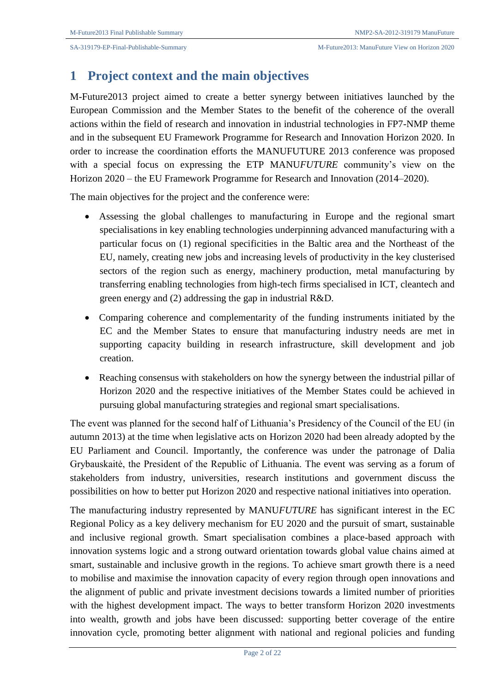# **1 Project context and the main objectives**

M-Future2013 project aimed to create a better synergy between initiatives launched by the European Commission and the Member States to the benefit of the coherence of the overall actions within the field of research and innovation in industrial technologies in FP7-NMP theme and in the subsequent EU Framework Programme for Research and Innovation Horizon 2020. In order to increase the coordination efforts the MANUFUTURE 2013 conference was proposed with a special focus on expressing the ETP MANU*FUTURE* community's view on the Horizon 2020 – the EU Framework Programme for Research and Innovation (2014–2020).

The main objectives for the project and the conference were:

- Assessing the global challenges to manufacturing in Europe and the regional smart specialisations in key enabling technologies underpinning advanced manufacturing with a particular focus on (1) regional specificities in the Baltic area and the Northeast of the EU, namely, creating new jobs and increasing levels of productivity in the key clusterised sectors of the region such as energy, machinery production, metal manufacturing by transferring enabling technologies from high-tech firms specialised in ICT, cleantech and green energy and (2) addressing the gap in industrial R&D.
- Comparing coherence and complementarity of the funding instruments initiated by the EC and the Member States to ensure that manufacturing industry needs are met in supporting capacity building in research infrastructure, skill development and job creation.
- Reaching consensus with stakeholders on how the synergy between the industrial pillar of Horizon 2020 and the respective initiatives of the Member States could be achieved in pursuing global manufacturing strategies and regional smart specialisations.

The event was planned for the second half of Lithuania's Presidency of the Council of the EU (in autumn 2013) at the time when legislative acts on Horizon 2020 had been already adopted by the EU Parliament and Council. Importantly, the conference was under the patronage of Dalia Grybauskaitė, the President of the Republic of Lithuania. The event was serving as a forum of stakeholders from industry, universities, research institutions and government discuss the possibilities on how to better put Horizon 2020 and respective national initiatives into operation.

The manufacturing industry represented by MANU*FUTURE* has significant interest in the EC Regional Policy as a key delivery mechanism for EU 2020 and the pursuit of smart, sustainable and inclusive regional growth. Smart specialisation combines a place-based approach with innovation systems logic and a strong outward orientation towards global value chains aimed at smart, sustainable and inclusive growth in the regions. To achieve smart growth there is a need to mobilise and maximise the innovation capacity of every region through open innovations and the alignment of public and private investment decisions towards a limited number of priorities with the highest development impact. The ways to better transform Horizon 2020 investments into wealth, growth and jobs have been discussed: supporting better coverage of the entire innovation cycle, promoting better alignment with national and regional policies and funding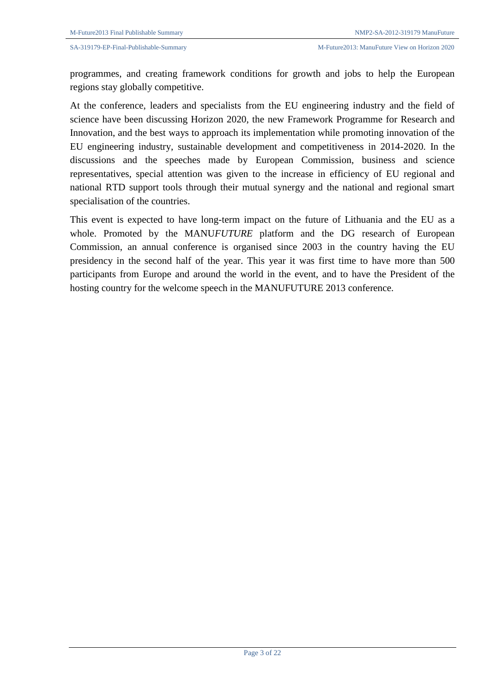programmes, and creating framework conditions for growth and jobs to help the European regions stay globally competitive.

At the conference, leaders and specialists from the EU engineering industry and the field of science have been discussing Horizon 2020, the new Framework Programme for Research and Innovation, and the best ways to approach its implementation while promoting innovation of the EU engineering industry, sustainable development and competitiveness in 2014-2020. In the discussions and the speeches made by European Commission, business and science representatives, special attention was given to the increase in efficiency of EU regional and national RTD support tools through their mutual synergy and the national and regional smart specialisation of the countries.

This event is expected to have long-term impact on the future of Lithuania and the EU as a whole. Promoted by the MANU*FUTURE* platform and the DG research of European Commission, an annual conference is organised since 2003 in the country having the EU presidency in the second half of the year. This year it was first time to have more than 500 participants from Europe and around the world in the event, and to have the President of the hosting country for the welcome speech in the MANUFUTURE 2013 conference.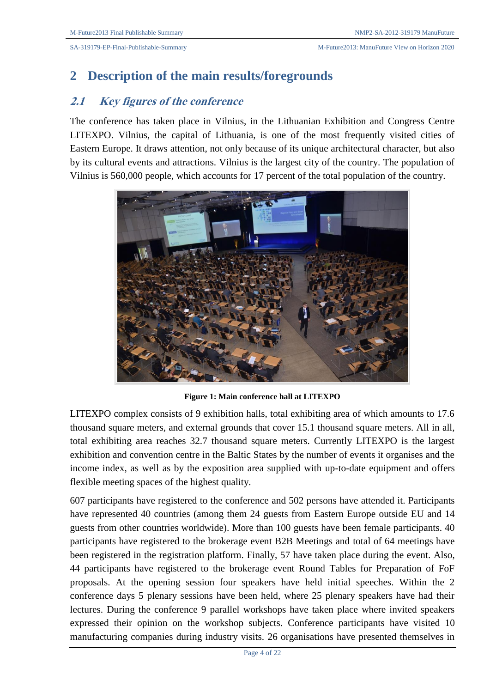# **2 Description of the main results/foregrounds**

## **2.1 Key figures of the conference**

The conference has taken place in Vilnius, in the Lithuanian Exhibition and Congress Centre LITEXPO. Vilnius, the capital of Lithuania, is one of the most frequently visited cities of Eastern Europe. It draws attention, not only because of its unique architectural character, but also by its cultural events and attractions. Vilnius is the largest city of the country. The population of Vilnius is 560,000 people, which accounts for 17 percent of the total population of the country.



**Figure 1: Main conference hall at LITEXPO**

LITEXPO complex consists of 9 exhibition halls, total exhibiting area of which amounts to 17.6 thousand square meters, and external grounds that cover 15.1 thousand square meters. All in all, total exhibiting area reaches 32.7 thousand square meters. Currently LITEXPO is the largest exhibition and convention centre in the Baltic States by the number of events it organises and the income index, as well as by the exposition area supplied with up-to-date equipment and offers flexible meeting spaces of the highest quality.

607 participants have registered to the conference and 502 persons have attended it. Participants have represented 40 countries (among them 24 guests from Eastern Europe outside EU and 14 guests from other countries worldwide). More than 100 guests have been female participants. 40 participants have registered to the brokerage event B2B Meetings and total of 64 meetings have been registered in the registration platform. Finally, 57 have taken place during the event. Also, 44 participants have registered to the brokerage event Round Tables for Preparation of FoF proposals. At the opening session four speakers have held initial speeches. Within the 2 conference days 5 plenary sessions have been held, where 25 plenary speakers have had their lectures. During the conference 9 parallel workshops have taken place where invited speakers expressed their opinion on the workshop subjects. Conference participants have visited 10 manufacturing companies during industry visits. 26 organisations have presented themselves in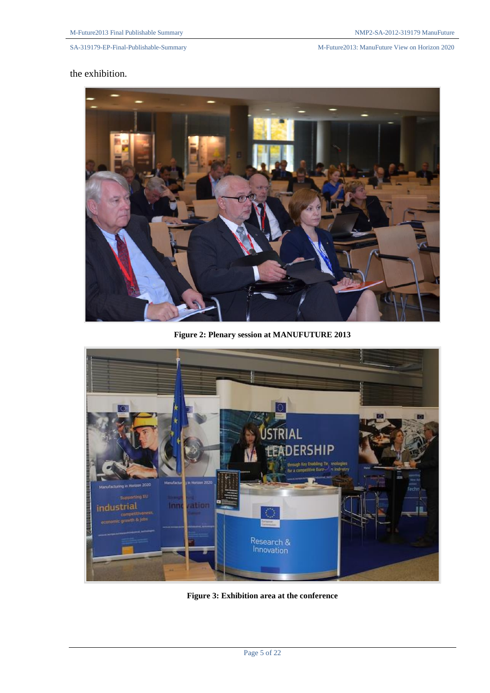SA-319179-EP-Final-Publishable-Summary M-Future2013: ManuFuture View on Horizon 2020

### the exhibition.



**Figure 2: Plenary session at MANUFUTURE 2013**



**Figure 3: Exhibition area at the conference**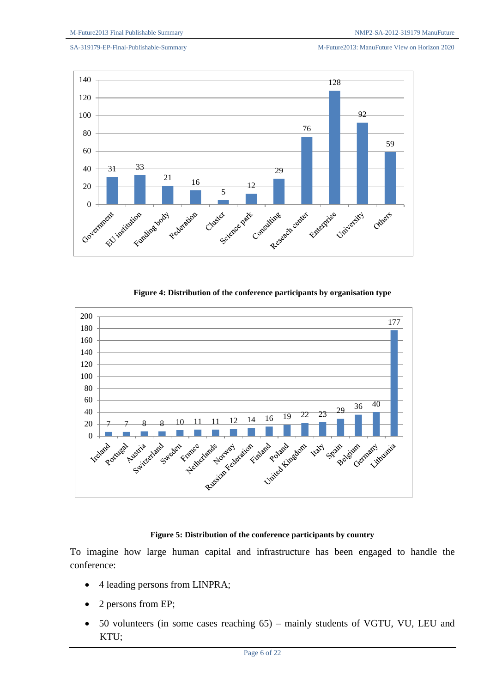SA-319179-EP-Final-Publishable-Summary M-Future2013: ManuFuture View on Horizon 2020



**Figure 4: Distribution of the conference participants by organisation type**



### **Figure 5: Distribution of the conference participants by country**

To imagine how large human capital and infrastructure has been engaged to handle the conference:

- 4 leading persons from LINPRA;
- 2 persons from EP;
- 50 volunteers (in some cases reaching 65) mainly students of VGTU, VU, LEU and KTU;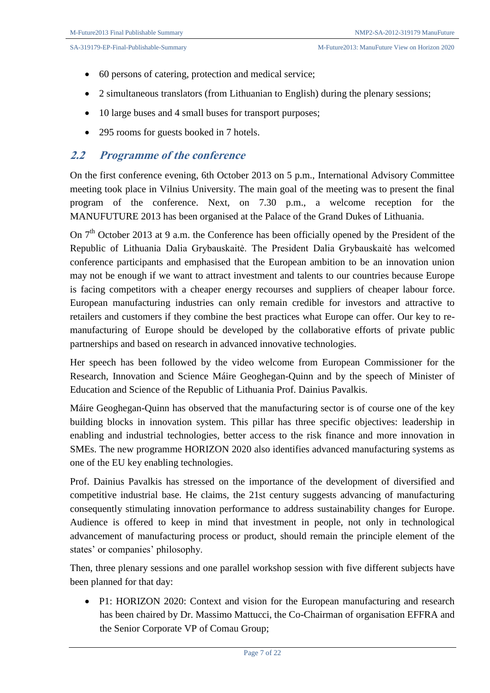- 60 persons of catering, protection and medical service;
- 2 simultaneous translators (from Lithuanian to English) during the plenary sessions;
- 10 large buses and 4 small buses for transport purposes;
- 295 rooms for guests booked in 7 hotels.

### **2.2 Programme of the conference**

On the first conference evening, 6th October 2013 on 5 p.m., International Advisory Committee meeting took place in Vilnius University. The main goal of the meeting was to present the final program of the conference. Next, on 7.30 p.m., a welcome reception for the MANUFUTURE 2013 has been organised at the Palace of the Grand Dukes of Lithuania.

On 7<sup>th</sup> October 2013 at 9 a.m. the Conference has been officially opened by the President of the Republic of Lithuania Dalia Grybauskaitė. The President Dalia Grybauskaitė has welcomed conference participants and emphasised that the European ambition to be an innovation union may not be enough if we want to attract investment and talents to our countries because Europe is facing competitors with a cheaper energy recourses and suppliers of cheaper labour force. European manufacturing industries can only remain credible for investors and attractive to retailers and customers if they combine the best practices what Europe can offer. Our key to remanufacturing of Europe should be developed by the collaborative efforts of private public partnerships and based on research in advanced innovative technologies.

Her speech has been followed by the video welcome from European Commissioner for the Research, Innovation and Science Máire Geoghegan-Quinn and by the speech of Minister of Education and Science of the Republic of Lithuania Prof. Dainius Pavalkis.

Máire Geoghegan-Quinn has observed that the manufacturing sector is of course one of the key building blocks in innovation system. This pillar has three specific objectives: leadership in enabling and industrial technologies, better access to the risk finance and more innovation in SMEs. The new programme HORIZON 2020 also identifies advanced manufacturing systems as one of the EU key enabling technologies.

Prof. Dainius Pavalkis has stressed on the importance of the development of diversified and competitive industrial base. He claims, the 21st century suggests advancing of manufacturing consequently stimulating innovation performance to address sustainability changes for Europe. Audience is offered to keep in mind that investment in people, not only in technological advancement of manufacturing process or product, should remain the principle element of the states' or companies' philosophy.

Then, three plenary sessions and one parallel workshop session with five different subjects have been planned for that day:

• P1: HORIZON 2020: Context and vision for the European manufacturing and research has been chaired by Dr. Massimo Mattucci, the Co-Chairman of organisation EFFRA and the Senior Corporate VP of Comau Group;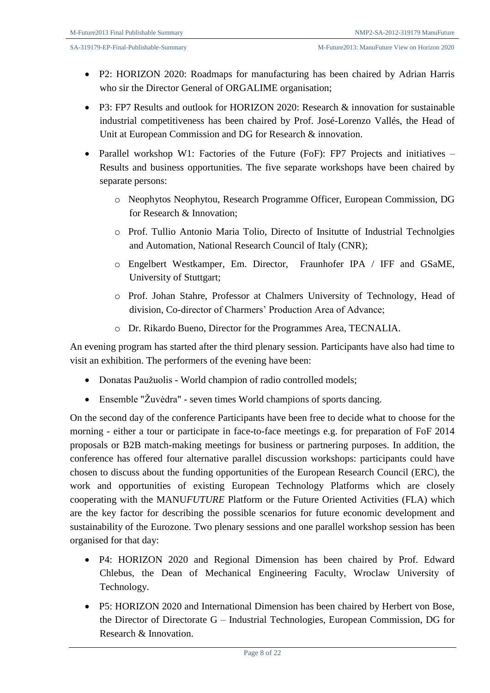- P2: HORIZON 2020: Roadmaps for manufacturing has been chaired by Adrian Harris who sir the Director General of ORGALIME organisation;
- P3: FP7 Results and outlook for HORIZON 2020: Research & innovation for sustainable industrial competitiveness has been chaired by Prof. José-Lorenzo Vallés, the Head of Unit at European Commission and DG for Research & innovation.
- Parallel workshop W1: Factories of the Future (FoF): FP7 Projects and initiatives Results and business opportunities. The five separate workshops have been chaired by separate persons:
	- o Neophytos Neophytou, Research Programme Officer, European Commission, DG for Research & Innovation;
	- o Prof. Tullio Antonio Maria Tolio, Directo of Insitutte of Industrial Technolgies and Automation, National Research Council of Italy (CNR);
	- o Engelbert Westkamper, Em. Director, Fraunhofer IPA / IFF and GSaME, University of Stuttgart;
	- o Prof. Johan Stahre, Professor at Chalmers University of Technology, Head of division, Co-director of Charmers' Production Area of Advance;
	- o Dr. Rikardo Bueno, Director for the Programmes Area, TECNALIA.

An evening program has started after the third plenary session. Participants have also had time to visit an exhibition. The performers of the evening have been:

- Donatas Paužuolis World champion of radio controlled models;
- Ensemble "Žuvėdra" seven times World champions of sports dancing.

On the second day of the conference Participants have been free to decide what to choose for the morning - either a tour or participate in face-to-face meetings e.g. for preparation of FoF 2014 proposals or B2B match-making meetings for business or partnering purposes. In addition, the conference has offered four alternative parallel discussion workshops: participants could have chosen to discuss about the funding opportunities of the European Research Council (ERC), the work and opportunities of existing European Technology Platforms which are closely cooperating with the MANU*FUTURE* Platform or the Future Oriented Activities (FLA) which are the key factor for describing the possible scenarios for future economic development and sustainability of the Eurozone. Two plenary sessions and one parallel workshop session has been organised for that day:

- P4: HORIZON 2020 and Regional Dimension has been chaired by Prof. Edward Chlebus, the Dean of Mechanical Engineering Faculty, Wroclaw University of Technology.
- P5: HORIZON 2020 and International Dimension has been chaired by Herbert von Bose, the Director of Directorate G – Industrial Technologies, European Commission, DG for Research & Innovation.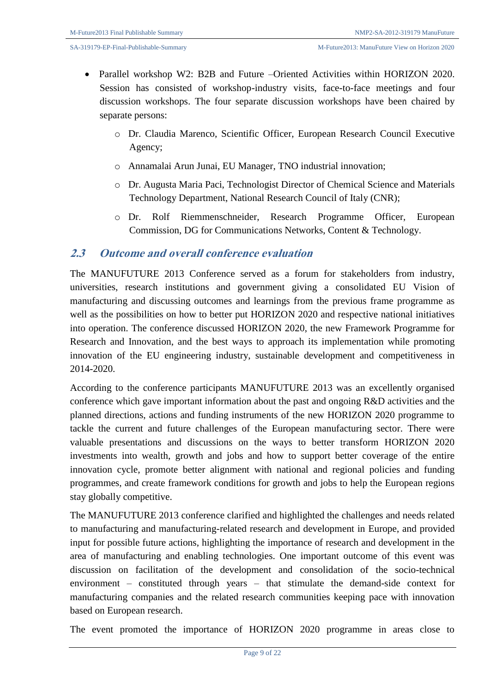- Parallel workshop W2: B2B and Future –Oriented Activities within HORIZON 2020. Session has consisted of workshop-industry visits, face-to-face meetings and four discussion workshops. The four separate discussion workshops have been chaired by separate persons:
	- o Dr. Claudia Marenco, Scientific Officer, European Research Council Executive Agency;
	- o Annamalai Arun Junai, EU Manager, TNO industrial innovation;
	- o Dr. Augusta Maria Paci, Technologist Director of Chemical Science and Materials Technology Department, National Research Council of Italy (CNR);
	- o Dr. Rolf Riemmenschneider, Research Programme Officer, European Commission, DG for Communications Networks, Content & Technology.

### **2.3 Outcome and overall conference evaluation**

The MANUFUTURE 2013 Conference served as a forum for stakeholders from industry, universities, research institutions and government giving a consolidated EU Vision of manufacturing and discussing outcomes and learnings from the previous frame programme as well as the possibilities on how to better put HORIZON 2020 and respective national initiatives into operation. The conference discussed HORIZON 2020, the new Framework Programme for Research and Innovation, and the best ways to approach its implementation while promoting innovation of the EU engineering industry, sustainable development and competitiveness in 2014-2020.

According to the conference participants MANUFUTURE 2013 was an excellently organised conference which gave important information about the past and ongoing R&D activities and the planned directions, actions and funding instruments of the new HORIZON 2020 programme to tackle the current and future challenges of the European manufacturing sector. There were valuable presentations and discussions on the ways to better transform HORIZON 2020 investments into wealth, growth and jobs and how to support better coverage of the entire innovation cycle, promote better alignment with national and regional policies and funding programmes, and create framework conditions for growth and jobs to help the European regions stay globally competitive.

The MANUFUTURE 2013 conference clarified and highlighted the challenges and needs related to manufacturing and manufacturing-related research and development in Europe, and provided input for possible future actions, highlighting the importance of research and development in the area of manufacturing and enabling technologies. One important outcome of this event was discussion on facilitation of the development and consolidation of the socio-technical environment – constituted through years – that stimulate the demand-side context for manufacturing companies and the related research communities keeping pace with innovation based on European research.

The event promoted the importance of HORIZON 2020 programme in areas close to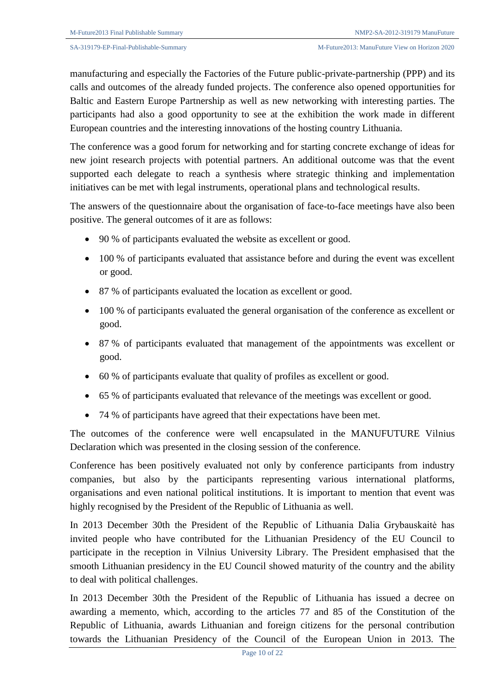manufacturing and especially the Factories of the Future public-private-partnership (PPP) and its calls and outcomes of the already funded projects. The conference also opened opportunities for Baltic and Eastern Europe Partnership as well as new networking with interesting parties. The participants had also a good opportunity to see at the exhibition the work made in different European countries and the interesting innovations of the hosting country Lithuania.

The conference was a good forum for networking and for starting concrete exchange of ideas for new joint research projects with potential partners. An additional outcome was that the event supported each delegate to reach a synthesis where strategic thinking and implementation initiatives can be met with legal instruments, operational plans and technological results.

The answers of the questionnaire about the organisation of face-to-face meetings have also been positive. The general outcomes of it are as follows:

- 90 % of participants evaluated the website as excellent or good.
- 100 % of participants evaluated that assistance before and during the event was excellent or good.
- 87 % of participants evaluated the location as excellent or good.
- 100 % of participants evaluated the general organisation of the conference as excellent or good.
- 87 % of participants evaluated that management of the appointments was excellent or good.
- 60 % of participants evaluate that quality of profiles as excellent or good.
- 65 % of participants evaluated that relevance of the meetings was excellent or good.
- 74 % of participants have agreed that their expectations have been met.

The outcomes of the conference were well encapsulated in the MANUFUTURE Vilnius Declaration which was presented in the closing session of the conference.

Conference has been positively evaluated not only by conference participants from industry companies, but also by the participants representing various international platforms, organisations and even national political institutions. It is important to mention that event was highly recognised by the President of the Republic of Lithuania as well.

In 2013 December 30th the President of the Republic of Lithuania Dalia Grybauskaitė has invited people who have contributed for the Lithuanian Presidency of the EU Council to participate in the reception in Vilnius University Library. The President emphasised that the smooth Lithuanian presidency in the EU Council showed maturity of the country and the ability to deal with political challenges.

In 2013 December 30th the President of the Republic of Lithuania has issued a decree on awarding a memento, which, according to the articles 77 and 85 of the Constitution of the Republic of Lithuania, awards Lithuanian and foreign citizens for the personal contribution towards the Lithuanian Presidency of the Council of the European Union in 2013. The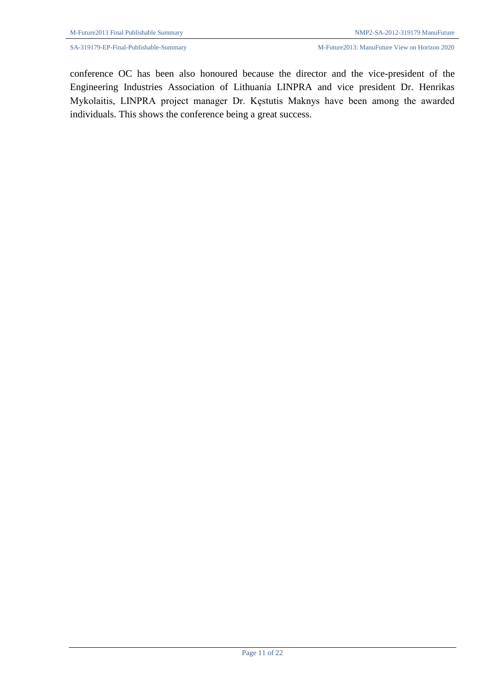conference OC has been also honoured because the director and the vice-president of the Engineering Industries Association of Lithuania LINPRA and vice president Dr. Henrikas Mykolaitis, LINPRA project manager Dr. Kęstutis Maknys have been among the awarded individuals. This shows the conference being a great success.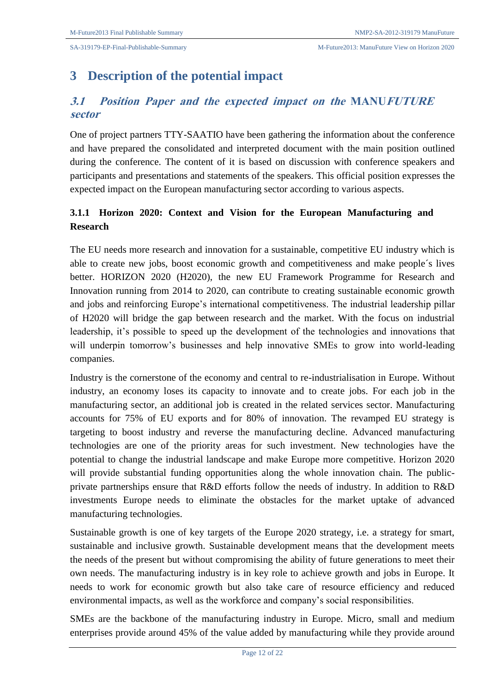# **3 Description of the potential impact**

## **3.1 Position Paper and the expected impact on the MANUFUTURE sector**

One of project partners TTY-SAATIO have been gathering the information about the conference and have prepared the consolidated and interpreted document with the main position outlined during the conference. The content of it is based on discussion with conference speakers and participants and presentations and statements of the speakers. This official position expresses the expected impact on the European manufacturing sector according to various aspects.

## **3.1.1 Horizon 2020: Context and Vision for the European Manufacturing and Research**

The EU needs more research and innovation for a sustainable, competitive EU industry which is able to create new jobs, boost economic growth and competitiveness and make people´s lives better. HORIZON 2020 (H2020), the new EU Framework Programme for Research and Innovation running from 2014 to 2020, can contribute to creating sustainable economic growth and jobs and reinforcing Europe's international competitiveness. The industrial leadership pillar of H2020 will bridge the gap between research and the market. With the focus on industrial leadership, it's possible to speed up the development of the technologies and innovations that will underpin tomorrow's businesses and help innovative SMEs to grow into world-leading companies.

Industry is the cornerstone of the economy and central to re-industrialisation in Europe. Without industry, an economy loses its capacity to innovate and to create jobs. For each job in the manufacturing sector, an additional job is created in the related services sector. Manufacturing accounts for 75% of EU exports and for 80% of innovation. The revamped EU strategy is targeting to boost industry and reverse the manufacturing decline. Advanced manufacturing technologies are one of the priority areas for such investment. New technologies have the potential to change the industrial landscape and make Europe more competitive. Horizon 2020 will provide substantial funding opportunities along the whole innovation chain. The publicprivate partnerships ensure that R&D efforts follow the needs of industry. In addition to R&D investments Europe needs to eliminate the obstacles for the market uptake of advanced manufacturing technologies.

Sustainable growth is one of key targets of the Europe 2020 strategy, i.e. a strategy for smart, sustainable and inclusive growth. Sustainable development means that the development meets the needs of the present but without compromising the ability of future generations to meet their own needs. The manufacturing industry is in key role to achieve growth and jobs in Europe. It needs to work for economic growth but also take care of resource efficiency and reduced environmental impacts, as well as the workforce and company's social responsibilities.

SMEs are the backbone of the manufacturing industry in Europe. Micro, small and medium enterprises provide around 45% of the value added by manufacturing while they provide around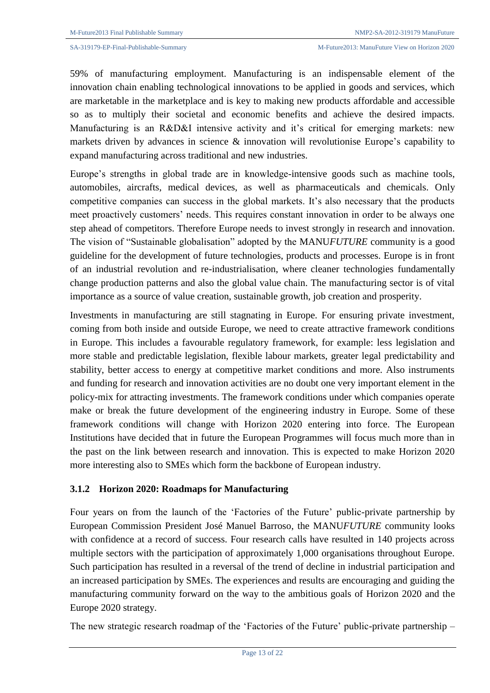59% of manufacturing employment. Manufacturing is an indispensable element of the innovation chain enabling technological innovations to be applied in goods and services, which are marketable in the marketplace and is key to making new products affordable and accessible so as to multiply their societal and economic benefits and achieve the desired impacts. Manufacturing is an R&D&I intensive activity and it's critical for emerging markets: new markets driven by advances in science & innovation will revolutionise Europe's capability to expand manufacturing across traditional and new industries.

Europe's strengths in global trade are in knowledge-intensive goods such as machine tools, automobiles, aircrafts, medical devices, as well as pharmaceuticals and chemicals. Only competitive companies can success in the global markets. It's also necessary that the products meet proactively customers' needs. This requires constant innovation in order to be always one step ahead of competitors. Therefore Europe needs to invest strongly in research and innovation. The vision of "Sustainable globalisation" adopted by the MANU*FUTURE* community is a good guideline for the development of future technologies, products and processes. Europe is in front of an industrial revolution and re-industrialisation, where cleaner technologies fundamentally change production patterns and also the global value chain. The manufacturing sector is of vital importance as a source of value creation, sustainable growth, job creation and prosperity.

Investments in manufacturing are still stagnating in Europe. For ensuring private investment, coming from both inside and outside Europe, we need to create attractive framework conditions in Europe. This includes a favourable regulatory framework, for example: less legislation and more stable and predictable legislation, flexible labour markets, greater legal predictability and stability, better access to energy at competitive market conditions and more. Also instruments and funding for research and innovation activities are no doubt one very important element in the policy-mix for attracting investments. The framework conditions under which companies operate make or break the future development of the engineering industry in Europe. Some of these framework conditions will change with Horizon 2020 entering into force. The European Institutions have decided that in future the European Programmes will focus much more than in the past on the link between research and innovation. This is expected to make Horizon 2020 more interesting also to SMEs which form the backbone of European industry.

### **3.1.2 Horizon 2020: Roadmaps for Manufacturing**

Four years on from the launch of the 'Factories of the Future' public-private partnership by European Commission President José Manuel Barroso, the MANU*FUTURE* community looks with confidence at a record of success. Four research calls have resulted in 140 projects across multiple sectors with the participation of approximately 1,000 organisations throughout Europe. Such participation has resulted in a reversal of the trend of decline in industrial participation and an increased participation by SMEs. The experiences and results are encouraging and guiding the manufacturing community forward on the way to the ambitious goals of Horizon 2020 and the Europe 2020 strategy.

The new strategic research roadmap of the 'Factories of the Future' public-private partnership –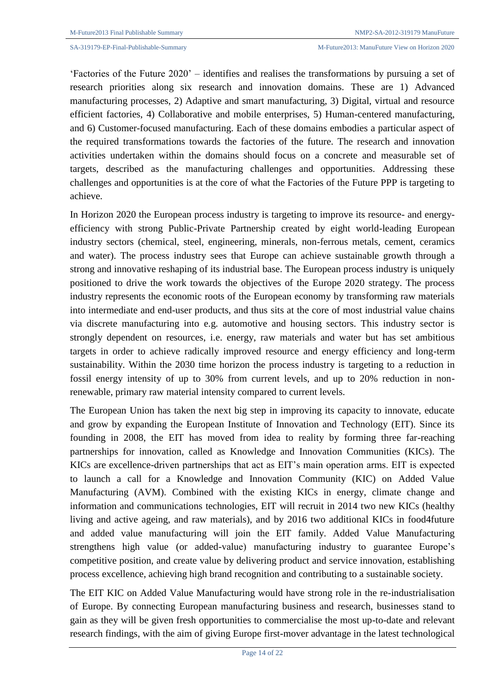'Factories of the Future 2020' – identifies and realises the transformations by pursuing a set of research priorities along six research and innovation domains. These are 1) Advanced manufacturing processes, 2) Adaptive and smart manufacturing, 3) Digital, virtual and resource efficient factories, 4) Collaborative and mobile enterprises, 5) Human-centered manufacturing, and 6) Customer-focused manufacturing. Each of these domains embodies a particular aspect of the required transformations towards the factories of the future. The research and innovation activities undertaken within the domains should focus on a concrete and measurable set of targets, described as the manufacturing challenges and opportunities. Addressing these challenges and opportunities is at the core of what the Factories of the Future PPP is targeting to achieve.

In Horizon 2020 the European process industry is targeting to improve its resource- and energyefficiency with strong Public-Private Partnership created by eight world-leading European industry sectors (chemical, steel, engineering, minerals, non-ferrous metals, cement, ceramics and water). The process industry sees that Europe can achieve sustainable growth through a strong and innovative reshaping of its industrial base. The European process industry is uniquely positioned to drive the work towards the objectives of the Europe 2020 strategy. The process industry represents the economic roots of the European economy by transforming raw materials into intermediate and end-user products, and thus sits at the core of most industrial value chains via discrete manufacturing into e.g. automotive and housing sectors. This industry sector is strongly dependent on resources, i.e. energy, raw materials and water but has set ambitious targets in order to achieve radically improved resource and energy efficiency and long-term sustainability. Within the 2030 time horizon the process industry is targeting to a reduction in fossil energy intensity of up to 30% from current levels, and up to 20% reduction in nonrenewable, primary raw material intensity compared to current levels.

The European Union has taken the next big step in improving its capacity to innovate, educate and grow by expanding the European Institute of Innovation and Technology (EIT). Since its founding in 2008, the EIT has moved from idea to reality by forming three far-reaching partnerships for innovation, called as Knowledge and Innovation Communities (KICs). The KICs are excellence-driven partnerships that act as EIT's main operation arms. EIT is expected to launch a call for a Knowledge and Innovation Community (KIC) on Added Value Manufacturing (AVM). Combined with the existing KICs in energy, climate change and information and communications technologies, EIT will recruit in 2014 two new KICs (healthy living and active ageing, and raw materials), and by 2016 two additional KICs in food4future and added value manufacturing will join the EIT family. Added Value Manufacturing strengthens high value (or added-value) manufacturing industry to guarantee Europe's competitive position, and create value by delivering product and service innovation, establishing process excellence, achieving high brand recognition and contributing to a sustainable society.

The EIT KIC on Added Value Manufacturing would have strong role in the re-industrialisation of Europe. By connecting European manufacturing business and research, businesses stand to gain as they will be given fresh opportunities to commercialise the most up-to-date and relevant research findings, with the aim of giving Europe first-mover advantage in the latest technological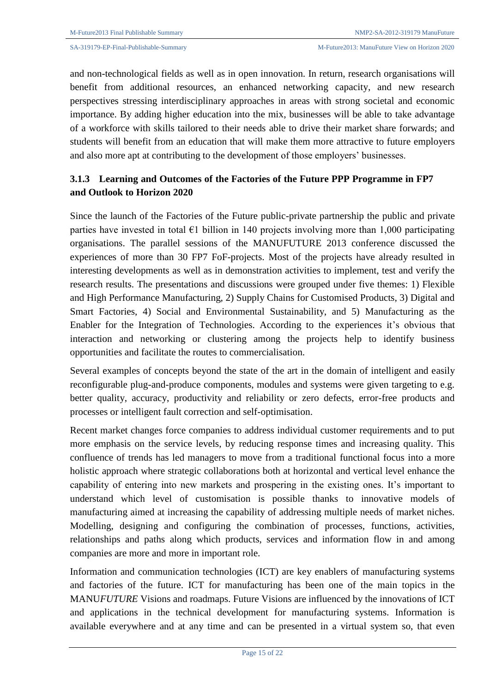and non-technological fields as well as in open innovation. In return, research organisations will benefit from additional resources, an enhanced networking capacity, and new research perspectives stressing interdisciplinary approaches in areas with strong societal and economic importance. By adding higher education into the mix, businesses will be able to take advantage of a workforce with skills tailored to their needs able to drive their market share forwards; and students will benefit from an education that will make them more attractive to future employers and also more apt at contributing to the development of those employers' businesses.

## **3.1.3 Learning and Outcomes of the Factories of the Future PPP Programme in FP7 and Outlook to Horizon 2020**

Since the launch of the Factories of the Future public-private partnership the public and private parties have invested in total  $\epsilon$ 1 billion in 140 projects involving more than 1,000 participating organisations. The parallel sessions of the MANUFUTURE 2013 conference discussed the experiences of more than 30 FP7 FoF-projects. Most of the projects have already resulted in interesting developments as well as in demonstration activities to implement, test and verify the research results. The presentations and discussions were grouped under five themes: 1) Flexible and High Performance Manufacturing, 2) Supply Chains for Customised Products, 3) Digital and Smart Factories, 4) Social and Environmental Sustainability, and 5) Manufacturing as the Enabler for the Integration of Technologies. According to the experiences it's obvious that interaction and networking or clustering among the projects help to identify business opportunities and facilitate the routes to commercialisation.

Several examples of concepts beyond the state of the art in the domain of intelligent and easily reconfigurable plug-and-produce components, modules and systems were given targeting to e.g. better quality, accuracy, productivity and reliability or zero defects, error-free products and processes or intelligent fault correction and self-optimisation.

Recent market changes force companies to address individual customer requirements and to put more emphasis on the service levels, by reducing response times and increasing quality. This confluence of trends has led managers to move from a traditional functional focus into a more holistic approach where strategic collaborations both at horizontal and vertical level enhance the capability of entering into new markets and prospering in the existing ones. It's important to understand which level of customisation is possible thanks to innovative models of manufacturing aimed at increasing the capability of addressing multiple needs of market niches. Modelling, designing and configuring the combination of processes, functions, activities, relationships and paths along which products, services and information flow in and among companies are more and more in important role.

Information and communication technologies (ICT) are key enablers of manufacturing systems and factories of the future. ICT for manufacturing has been one of the main topics in the MANU*FUTURE* Visions and roadmaps. Future Visions are influenced by the innovations of ICT and applications in the technical development for manufacturing systems. Information is available everywhere and at any time and can be presented in a virtual system so, that even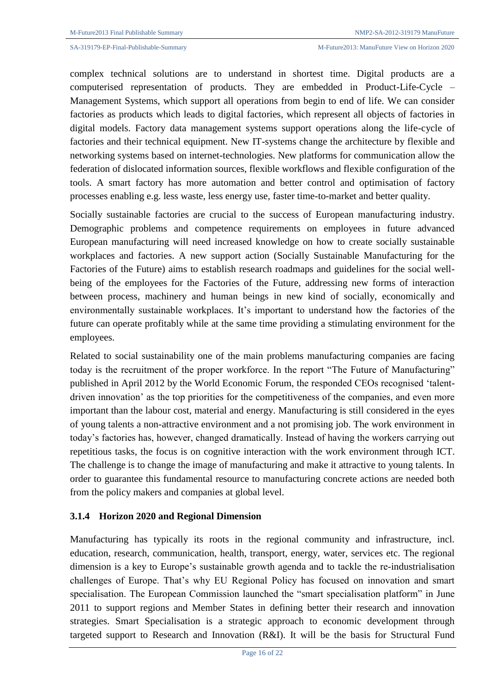complex technical solutions are to understand in shortest time. Digital products are a computerised representation of products. They are embedded in Product-Life-Cycle – Management Systems, which support all operations from begin to end of life. We can consider factories as products which leads to digital factories, which represent all objects of factories in digital models. Factory data management systems support operations along the life-cycle of factories and their technical equipment. New IT-systems change the architecture by flexible and networking systems based on internet-technologies. New platforms for communication allow the federation of dislocated information sources, flexible workflows and flexible configuration of the tools. A smart factory has more automation and better control and optimisation of factory processes enabling e.g. less waste, less energy use, faster time-to-market and better quality.

Socially sustainable factories are crucial to the success of European manufacturing industry. Demographic problems and competence requirements on employees in future advanced European manufacturing will need increased knowledge on how to create socially sustainable workplaces and factories. A new support action (Socially Sustainable Manufacturing for the Factories of the Future) aims to establish research roadmaps and guidelines for the social wellbeing of the employees for the Factories of the Future, addressing new forms of interaction between process, machinery and human beings in new kind of socially, economically and environmentally sustainable workplaces. It's important to understand how the factories of the future can operate profitably while at the same time providing a stimulating environment for the employees.

Related to social sustainability one of the main problems manufacturing companies are facing today is the recruitment of the proper workforce. In the report "The Future of Manufacturing" published in April 2012 by the World Economic Forum, the responded CEOs recognised 'talentdriven innovation' as the top priorities for the competitiveness of the companies, and even more important than the labour cost, material and energy. Manufacturing is still considered in the eyes of young talents a non-attractive environment and a not promising job. The work environment in today's factories has, however, changed dramatically. Instead of having the workers carrying out repetitious tasks, the focus is on cognitive interaction with the work environment through ICT. The challenge is to change the image of manufacturing and make it attractive to young talents. In order to guarantee this fundamental resource to manufacturing concrete actions are needed both from the policy makers and companies at global level.

### **3.1.4 Horizon 2020 and Regional Dimension**

Manufacturing has typically its roots in the regional community and infrastructure, incl. education, research, communication, health, transport, energy, water, services etc. The regional dimension is a key to Europe's sustainable growth agenda and to tackle the re-industrialisation challenges of Europe. That's why EU Regional Policy has focused on innovation and smart specialisation. The European Commission launched the "smart specialisation platform" in June 2011 to support regions and Member States in defining better their research and innovation strategies. Smart Specialisation is a strategic approach to economic development through targeted support to Research and Innovation (R&I). It will be the basis for Structural Fund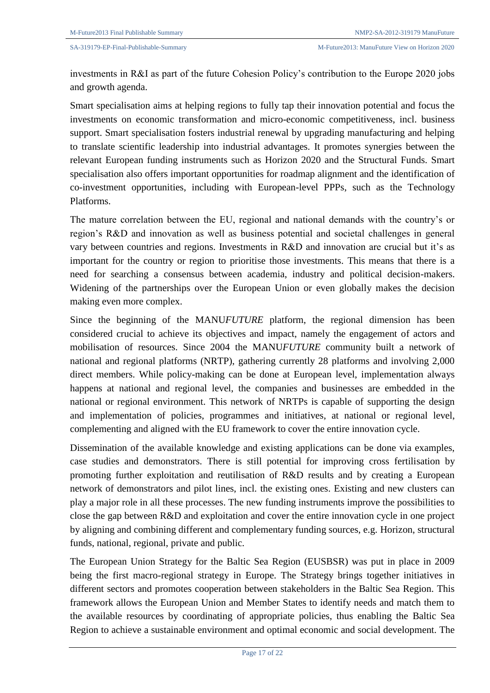investments in R&I as part of the future Cohesion Policy's contribution to the Europe 2020 jobs and growth agenda.

Smart specialisation aims at helping regions to fully tap their innovation potential and focus the investments on economic transformation and micro-economic competitiveness, incl. business support. Smart specialisation fosters industrial renewal by upgrading manufacturing and helping to translate scientific leadership into industrial advantages. It promotes synergies between the relevant European funding instruments such as Horizon 2020 and the Structural Funds. Smart specialisation also offers important opportunities for roadmap alignment and the identification of co-investment opportunities, including with European-level PPPs, such as the Technology Platforms.

The mature correlation between the EU, regional and national demands with the country's or region's R&D and innovation as well as business potential and societal challenges in general vary between countries and regions. Investments in R&D and innovation are crucial but it's as important for the country or region to prioritise those investments. This means that there is a need for searching a consensus between academia, industry and political decision-makers. Widening of the partnerships over the European Union or even globally makes the decision making even more complex.

Since the beginning of the MANU*FUTURE* platform, the regional dimension has been considered crucial to achieve its objectives and impact, namely the engagement of actors and mobilisation of resources. Since 2004 the MANU*FUTURE* community built a network of national and regional platforms (NRTP), gathering currently 28 platforms and involving 2,000 direct members. While policy-making can be done at European level, implementation always happens at national and regional level, the companies and businesses are embedded in the national or regional environment. This network of NRTPs is capable of supporting the design and implementation of policies, programmes and initiatives, at national or regional level, complementing and aligned with the EU framework to cover the entire innovation cycle.

Dissemination of the available knowledge and existing applications can be done via examples, case studies and demonstrators. There is still potential for improving cross fertilisation by promoting further exploitation and reutilisation of R&D results and by creating a European network of demonstrators and pilot lines, incl. the existing ones. Existing and new clusters can play a major role in all these processes. The new funding instruments improve the possibilities to close the gap between R&D and exploitation and cover the entire innovation cycle in one project by aligning and combining different and complementary funding sources, e.g. Horizon, structural funds, national, regional, private and public.

The European Union Strategy for the Baltic Sea Region (EUSBSR) was put in place in 2009 being the first macro-regional strategy in Europe. The Strategy brings together initiatives in different sectors and promotes cooperation between stakeholders in the Baltic Sea Region. This framework allows the European Union and Member States to identify needs and match them to the available resources by coordinating of appropriate policies, thus enabling the Baltic Sea Region to achieve a sustainable environment and optimal economic and social development. The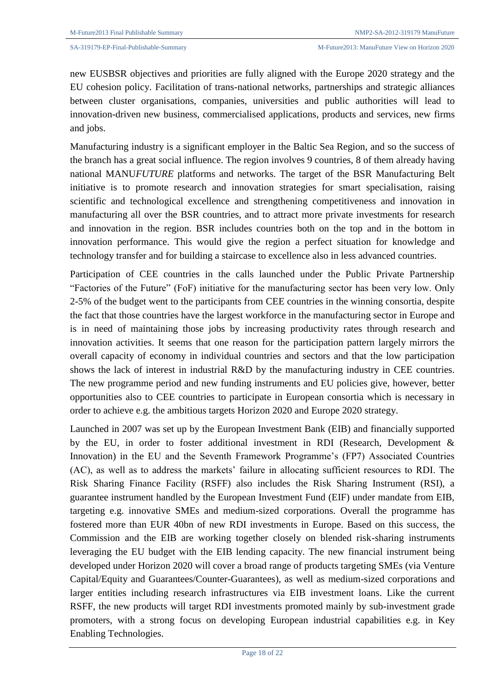new EUSBSR objectives and priorities are fully aligned with the Europe 2020 strategy and the EU cohesion policy. Facilitation of trans-national networks, partnerships and strategic alliances between cluster organisations, companies, universities and public authorities will lead to innovation-driven new business, commercialised applications, products and services, new firms and jobs.

Manufacturing industry is a significant employer in the Baltic Sea Region, and so the success of the branch has a great social influence. The region involves 9 countries, 8 of them already having national MANU*FUTURE* platforms and networks. The target of the BSR Manufacturing Belt initiative is to promote research and innovation strategies for smart specialisation, raising scientific and technological excellence and strengthening competitiveness and innovation in manufacturing all over the BSR countries, and to attract more private investments for research and innovation in the region. BSR includes countries both on the top and in the bottom in innovation performance. This would give the region a perfect situation for knowledge and technology transfer and for building a staircase to excellence also in less advanced countries.

Participation of CEE countries in the calls launched under the Public Private Partnership "Factories of the Future" (FoF) initiative for the manufacturing sector has been very low. Only 2-5% of the budget went to the participants from CEE countries in the winning consortia, despite the fact that those countries have the largest workforce in the manufacturing sector in Europe and is in need of maintaining those jobs by increasing productivity rates through research and innovation activities. It seems that one reason for the participation pattern largely mirrors the overall capacity of economy in individual countries and sectors and that the low participation shows the lack of interest in industrial R&D by the manufacturing industry in CEE countries. The new programme period and new funding instruments and EU policies give, however, better opportunities also to CEE countries to participate in European consortia which is necessary in order to achieve e.g. the ambitious targets Horizon 2020 and Europe 2020 strategy.

Launched in 2007 was set up by the European Investment Bank (EIB) and financially supported by the EU, in order to foster additional investment in RDI (Research, Development & Innovation) in the EU and the Seventh Framework Programme's (FP7) Associated Countries (AC), as well as to address the markets' failure in allocating sufficient resources to RDI. The Risk Sharing Finance Facility (RSFF) also includes the Risk Sharing Instrument (RSI), a guarantee instrument handled by the European Investment Fund (EIF) under mandate from EIB, targeting e.g. innovative SMEs and medium-sized corporations. Overall the programme has fostered more than EUR 40bn of new RDI investments in Europe. Based on this success, the Commission and the EIB are working together closely on blended risk-sharing instruments leveraging the EU budget with the EIB lending capacity. The new financial instrument being developed under Horizon 2020 will cover a broad range of products targeting SMEs (via Venture Capital/Equity and Guarantees/Counter-Guarantees), as well as medium-sized corporations and larger entities including research infrastructures via EIB investment loans. Like the current RSFF, the new products will target RDI investments promoted mainly by sub-investment grade promoters, with a strong focus on developing European industrial capabilities e.g. in Key Enabling Technologies.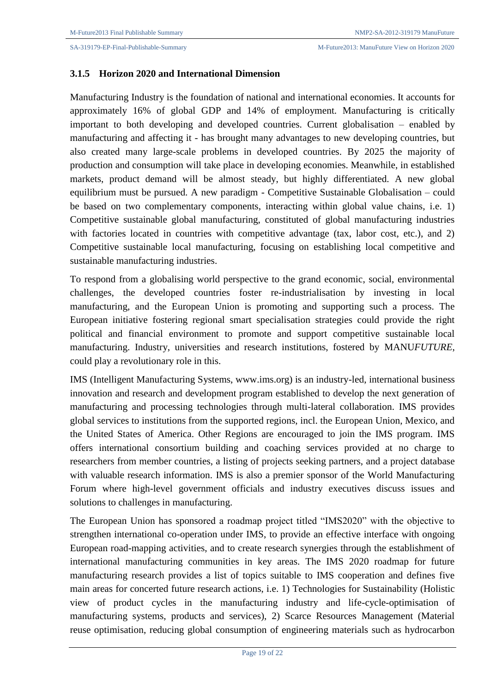### **3.1.5 Horizon 2020 and International Dimension**

Manufacturing Industry is the foundation of national and international economies. It accounts for approximately 16% of global GDP and 14% of employment. Manufacturing is critically important to both developing and developed countries. Current globalisation – enabled by manufacturing and affecting it - has brought many advantages to new developing countries, but also created many large-scale problems in developed countries. By 2025 the majority of production and consumption will take place in developing economies. Meanwhile, in established markets, product demand will be almost steady, but highly differentiated. A new global equilibrium must be pursued. A new paradigm - Competitive Sustainable Globalisation – could be based on two complementary components, interacting within global value chains, i.e. 1) Competitive sustainable global manufacturing, constituted of global manufacturing industries with factories located in countries with competitive advantage (tax, labor cost, etc.), and 2) Competitive sustainable local manufacturing, focusing on establishing local competitive and sustainable manufacturing industries.

To respond from a globalising world perspective to the grand economic, social, environmental challenges, the developed countries foster re-industrialisation by investing in local manufacturing, and the European Union is promoting and supporting such a process. The European initiative fostering regional smart specialisation strategies could provide the right political and financial environment to promote and support competitive sustainable local manufacturing. Industry, universities and research institutions, fostered by MANU*FUTURE*, could play a revolutionary role in this.

IMS (Intelligent Manufacturing Systems, www.ims.org) is an industry-led, international business innovation and research and development program established to develop the next generation of manufacturing and processing technologies through multi-lateral collaboration. IMS provides global services to institutions from the supported regions, incl. the European Union, Mexico, and the United States of America. Other Regions are encouraged to join the IMS program. IMS offers international consortium building and coaching services provided at no charge to researchers from member countries, a listing of projects seeking partners, and a project database with valuable research information. IMS is also a premier sponsor of the World Manufacturing Forum where high-level government officials and industry executives discuss issues and solutions to challenges in manufacturing.

The European Union has sponsored a roadmap project titled "IMS2020" with the objective to strengthen international co-operation under IMS, to provide an effective interface with ongoing European road-mapping activities, and to create research synergies through the establishment of international manufacturing communities in key areas. The IMS 2020 roadmap for future manufacturing research provides a list of topics suitable to IMS cooperation and defines five main areas for concerted future research actions, i.e. 1) Technologies for Sustainability (Holistic view of product cycles in the manufacturing industry and life-cycle-optimisation of manufacturing systems, products and services), 2) Scarce Resources Management (Material reuse optimisation, reducing global consumption of engineering materials such as hydrocarbon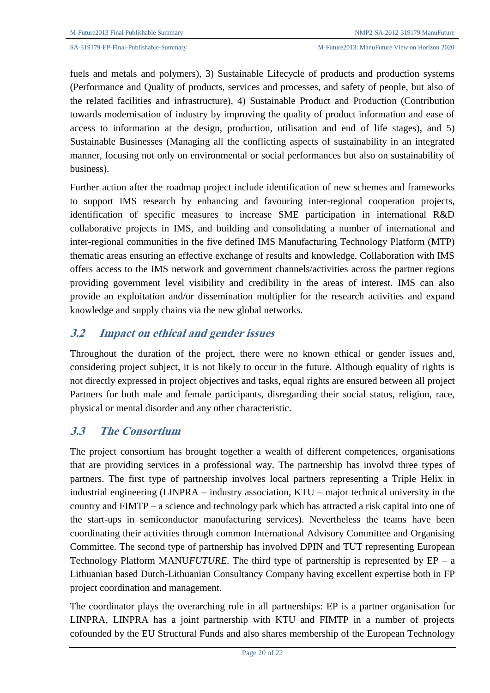fuels and metals and polymers), 3) Sustainable Lifecycle of products and production systems (Performance and Quality of products, services and processes, and safety of people, but also of the related facilities and infrastructure), 4) Sustainable Product and Production (Contribution towards modernisation of industry by improving the quality of product information and ease of access to information at the design, production, utilisation and end of life stages), and 5) Sustainable Businesses (Managing all the conflicting aspects of sustainability in an integrated manner, focusing not only on environmental or social performances but also on sustainability of business).

Further action after the roadmap project include identification of new schemes and frameworks to support IMS research by enhancing and favouring inter-regional cooperation projects, identification of specific measures to increase SME participation in international R&D collaborative projects in IMS, and building and consolidating a number of international and inter-regional communities in the five defined IMS Manufacturing Technology Platform (MTP) thematic areas ensuring an effective exchange of results and knowledge. Collaboration with IMS offers access to the IMS network and government channels/activities across the partner regions providing government level visibility and credibility in the areas of interest. IMS can also provide an exploitation and/or dissemination multiplier for the research activities and expand knowledge and supply chains via the new global networks.

## **3.2 Impact on ethical and gender issues**

Throughout the duration of the project, there were no known ethical or gender issues and, considering project subject, it is not likely to occur in the future. Although equality of rights is not directly expressed in project objectives and tasks, equal rights are ensured between all project Partners for both male and female participants, disregarding their social status, religion, race, physical or mental disorder and any other characteristic.

### **3.3 The Consortium**

The project consortium has brought together a wealth of different competences, organisations that are providing services in a professional way. The partnership has involvd three types of partners. The first type of partnership involves local partners representing a Triple Helix in industrial engineering (LINPRA – industry association, KTU – major technical university in the country and FIMTP – a science and technology park which has attracted a risk capital into one of the start-ups in semiconductor manufacturing services). Nevertheless the teams have been coordinating their activities through common International Advisory Committee and Organising Committee. The second type of partnership has involved DPIN and TUT representing European Technology Platform MANU*FUTURE*. The third type of partnership is represented by  $EP - a$ Lithuanian based Dutch-Lithuanian Consultancy Company having excellent expertise both in FP project coordination and management.

The coordinator plays the overarching role in all partnerships: EP is a partner organisation for LINPRA, LINPRA has a joint partnership with KTU and FIMTP in a number of projects cofounded by the EU Structural Funds and also shares membership of the European Technology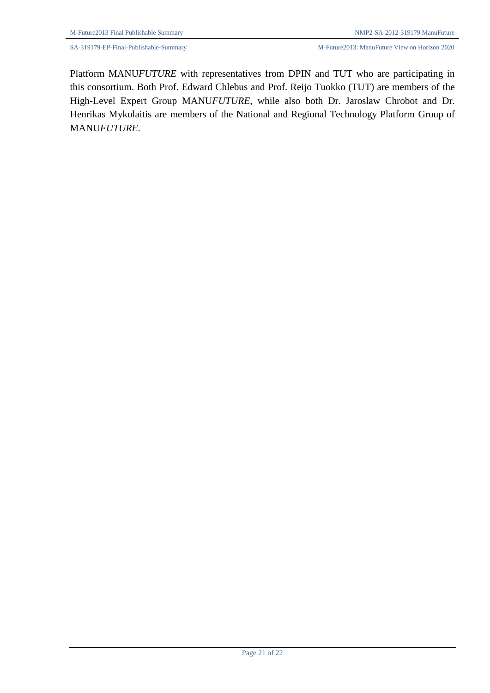Platform MANU*FUTURE* with representatives from DPIN and TUT who are participating in this consortium. Both Prof. Edward Chlebus and Prof. Reijo Tuokko (TUT) are members of the High-Level Expert Group MANU*FUTURE*, while also both Dr. Jaroslaw Chrobot and Dr. Henrikas Mykolaitis are members of the National and Regional Technology Platform Group of MANU*FUTURE*.